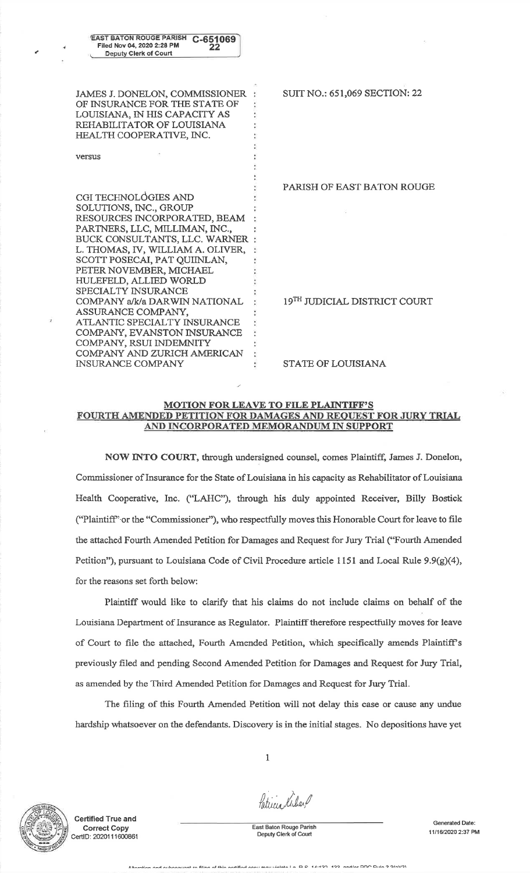| Filed Nov 04, 2020 2:28 PM<br>フフ<br><b>Deputy Clerk of Court</b> |
|------------------------------------------------------------------|
|                                                                  |
|                                                                  |
| JAMES J. DONELON, COMMISSIONER                                   |

c-651069

OF INSURANCE FOR THE STATE OFLOUISIANA, IN HIS CAPACITY AS REHABILITATOR OF LOUISIANAHEALTH COOPERATIVE, INC.

versus

CGI TECHNOLOGIES AND SOLUTIONS, INC., GROUP RESOURCES INCORPORATED, BEAMPARTNERS, LLC, MILLIMAN, INC., BUCK CONSULTANTS, LLC. WARNER L. THOMAS, TV, WLLIAM A. OLIVERscoTT PosEcAI, PAT QUIINLAN,PETER NOVEMBER, MICHAELHULEFELD, ALLIED WORLDSPECIALTY INSURANCE COMPANY a/k/a DARWIN NATIONAL ASSURANCE COMPANY, ATLANTIC SPECIALTY INSURANCE COMPANY, EVANSTON INSURANCECOMPANY, RSUI INDEMNITY COMPANY AND ZURICH AMERICA}IiNSURANCE COMPANY

SUIT NO.: 651,069 SECTION: 22

PARISH OF EAST BATON ROUGE

19TH JUDICIAL DISTRICT COURT

STATE OF LOUISIANA

## MOTION FOR LEAVE TO FILE PLAINTIFF'S FOURTH AMENDED PETITION FOR DAMAGES AND REOUEST FOR JURY TRIAL AND INCORPORATED MEMORANDUM IN SUPPORT

NOW INTO COURT, through undersigned counsel, comes Plaintiff, James J. Donelon,Commissioner of Insurance for the State of Louisiana in his capacity as Rehabilitator of Louisiana Health Cooperative, Inc. ("LAHC"), through his duly appointed Receiver, Billy Bostick ('PlaintifP''or the "Commissioner'), who respectfully moves this Honorable Court for leave to frlethe attached Fourth Amended Petition for Damages and Request for Jury Trial ("Fourth AmendedPetition"), pursuant to Louisiana Code of Civil Procedure article 1 151 and Local Rule 9.9(9)(4),for the reasons set forth below:

Plaintiff would like to clarify that his claims do not include claims on behalf of the Louisiana Department of Insurance as Regulator. Plaintiff therefore respectfully moves for leave of Court to file the attached, Fourth Amended Petition, which specifically amends Plaintiff's previously filed and pending Second Amended Petition for Damages and Request for Jury Trial,as amended by the Third Amended Petition for Damages and Request for Jury Trial.

The fiiing of this Fourth Amended Petition will not delay this case or cause any unduehardship whatsoever on the defendants. Discovery is in the initial stages. No depositions have yet

I

 $\mathbf{1}$ 



Certified True andCorrect GopyCertID: 202011160086′

Patricia, Kilsan

Generated Date:11/16/2020 2:37 PM

East Baton Rouge ParishDeputy Clerk of Gourt

 $\cdots$  .  $\cdots$  .  $\cdots$   $\cdots$   $\cdots$   $\cdots$  is  $\cdots$  or  $\cdots$  in  $\cdots$  in  $\cdots$  on  $\cdots$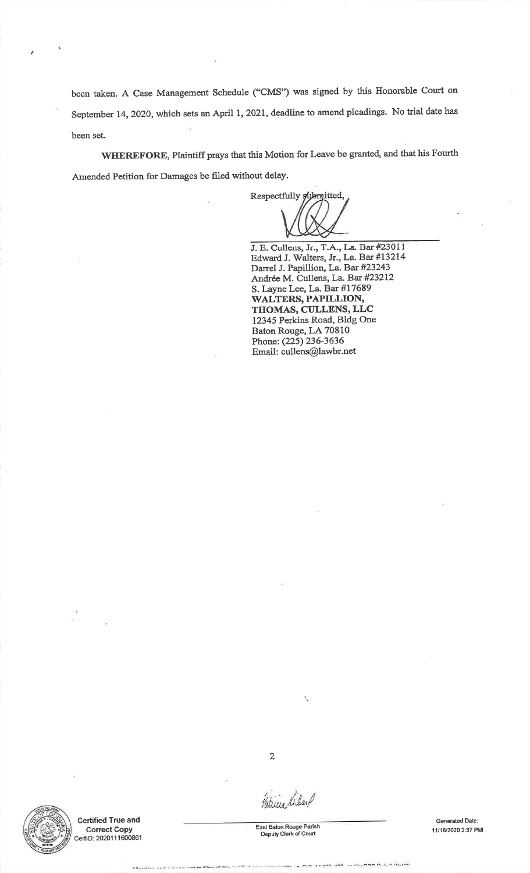been taken. A Case Management Schedule ("CMS") was signed by this Honorable Court on September 14, 2020, which sets an April 1, 2021, deadline to amend pleadings. No trial date has been set.

WHEREFORE, Plaintiff prays that this Motion for Leave be granted, and that his Fourth Amended Petition for Damages be filed without delay.

Respectfully submitted,

J. E. Culiens, Jr., T.A., La Bar #230ILEdward J. Walters, Jr., La. Bar #13214 Darrel J. Papillion, La. Bar #23243Andrée M. Cullens, La. Bar #23212 S. Layne Lee, La Bar#17689WALTERS, PAPILLION, THOMAS, CULLENS, LLC 12345 Perkins Road, Bldg OneBaton Rouge, LA 70810 Phone: (225)236-3636Email: cullens@lawbr.net



Gertified True and**Correct Copy** CertID: 202011160086′

East Baton Rouge ParishDeputy Clerk of Court

lna,la^/

Generated Date: 11/16/2020 2:37 PM

2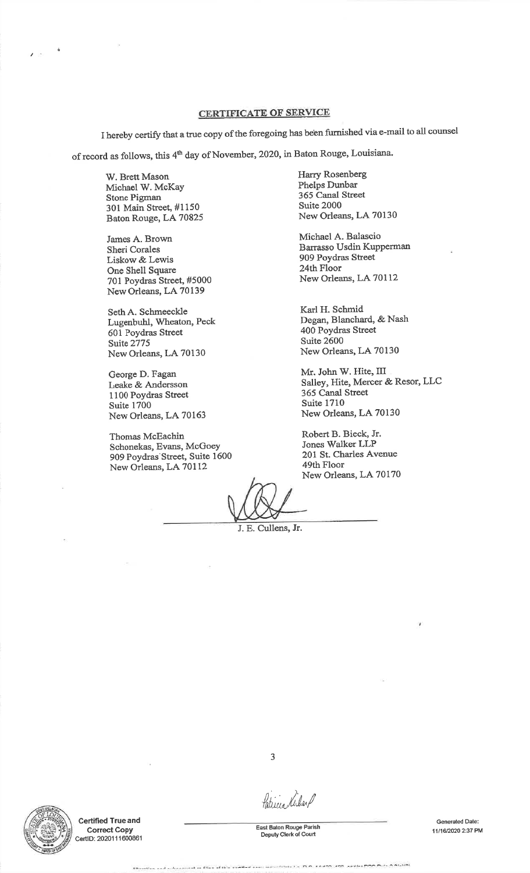## CERTIFICATE OF SERVICE

I hereby certify that a true copy of the foregoing has been furnished via e-mail to all counsel

of record as follows, this 4<sup>th</sup> day of November, 2020, in Baton Rouge, Louisiana.

W. Brett Mason Michael W. McKayStone Pigman301 Main Street, #1150 Baton Rouge, LA70825

James A. BrownSheri Corales Liskow& Lewis One Shell Square 701 Poydras Street, #5000New Orleans, LA 70139

Seth A. Schmeeckle Lugenbuhl, Wheaton, Peck601 Poydras StreetSuite 2775 New Orleans, LA 70130

George D. Fagan teake & Andersson1100 Poydras Street Suite 1700New Orleans, LA 70163

Thomas McEachin Schonekas, Evans, McGoeY 909 Poydras'Street, Suite <sup>1600</sup>New Orleans, LA 70112

Harry RosenbergPhelps Dunbar 365 Canal Streetsuite 2000New Orleans, LA 70130

Michael A. BalascioBarrasso Usdin Kupperman 909 Poydras Street 24th FloorNew Orleans, LA 70112

Karl H. Schmid Degan, Blanchard, & Nash400 Poydras Streetsuite 2600New Orleans, LA 70130

Mr. John W. Hite,IIl Salley, Hite, Mercer & Resor, LLC365 Canal StreetSuite 1710New Orleans, LA 70130

Robert B. Bieck, Jr.Jones Walker LLP 201 St. Charles Avenue49th FloorNew Orleans, LA 70170

J. E. Cullens, Jr.



Gertified True andCorrect GopYCertlD: 20201 1 1600861

Patricia Kilsar,

East Baton Rouge ParishDeputy Clerk of Court

J

Generated Date:11116f2O2O2:37 PM

the process consistency in the Automobile and Contact Property Process Automobile